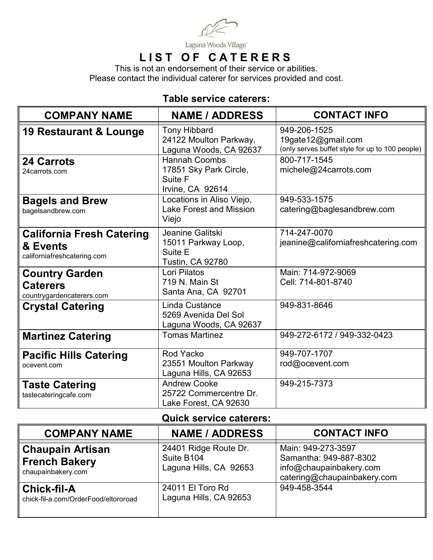

# **LIST OF CATERERS**

This is not an endorsement of their service or abilities. Please contact the individual caterer for services provided and cost.

# **Table service caterers:**

| <b>COMPANY NAME</b>                                                         | <b>NAME / ADDRESS</b>                                                         | <b>CONTACT INFO</b>                                                                   |
|-----------------------------------------------------------------------------|-------------------------------------------------------------------------------|---------------------------------------------------------------------------------------|
| <b>19 Restaurant &amp; Lounge</b>                                           | <b>Tony Hibbard</b><br>24122 Moulton Parkway,<br>Laguna Woods, CA 92637       | 949-206-1525<br>19gate12@gmail.com<br>(only serves buffet style for up to 100 people) |
| <b>24 Carrots</b><br>24carrots.com                                          | <b>Hannah Coombs</b><br>17851 Sky Park Circle,<br>Suite F<br>Irvine, CA 92614 | 800-717-1545<br>michele@24carrots.com                                                 |
| <b>Bagels and Brew</b><br>bagelsandbrew.com                                 | Locations in Aliso Viejo,<br><b>Lake Forest and Mission</b><br>Viejo          | 949-533-1575<br>catering@baglesandbrew.com                                            |
| <b>California Fresh Catering</b><br>& Events<br>californiafreshcatering.com | Jeanine Galitski<br>15011 Parkway Loop,<br>Suite E<br><b>Tustin, CA 92780</b> | 714-247-0070<br>jeanine@californiafreshcatering.com                                   |
| <b>Country Garden</b><br><b>Caterers</b><br>countrygardencaterers.com       | Lori Pilatos<br>719 N. Main St<br>Santa Ana, CA 92701                         | Main: 714-972-9069<br>Cell: 714-801-8740                                              |
| <b>Crystal Catering</b>                                                     | Linda Custance<br>5269 Avenida Del Sol<br>Laguna Woods, CA 92637              | 949-831-8646                                                                          |
| <b>Martinez Catering</b>                                                    | <b>Tomas Martinez</b>                                                         | 949-272-6172 / 949-332-0423                                                           |
| <b>Pacific Hills Catering</b><br>ocevent.com                                | Rod Yacko<br>23551 Moulton Parkway<br>Laguna Hills, CA 92653                  | 949-707-1707<br>rod@ocevent.com                                                       |
| <b>Taste Catering</b><br>tastecateringcafe.com                              | <b>Andrew Cooke</b><br>25722 Commercentre Dr.<br>Lake Forest, CA 92630        | 949-215-7373                                                                          |

### **Quick service caterers:**

| <b>COMPANY NAME</b>                                                   | <b>NAME / ADDRESS</b>                                         | <b>CONTACT INFO</b>                                                                                    |
|-----------------------------------------------------------------------|---------------------------------------------------------------|--------------------------------------------------------------------------------------------------------|
| <b>Chaupain Artisan</b><br><b>French Bakery</b><br>chaupainbakery.com | 24401 Ridge Route Dr.<br>Suite B104<br>Laguna Hills, CA 92653 | Main: 949-273-3597<br>Samantha: 949-887-8302<br>info@chaupainbakery.com<br>catering@chaupainbakery.com |
| <b>Chick-fil-A</b><br>chick-fil-a.com/OrderFood/eltororoad            | 24011 El Toro Rd<br>Laguna Hills, CA 92653                    | 949-458-3544                                                                                           |